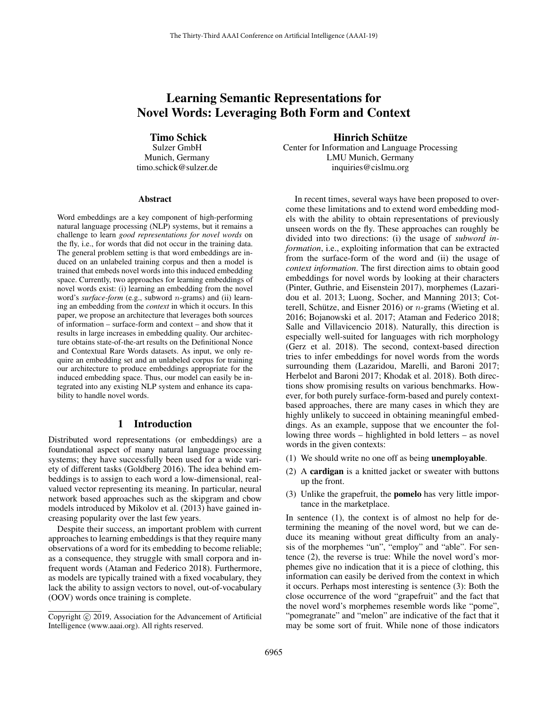# Learning Semantic Representations for Novel Words: Leveraging Both Form and Context

Timo Schick

Sulzer GmbH Munich, Germany timo.schick@sulzer.de

#### Abstract

Word embeddings are a key component of high-performing natural language processing (NLP) systems, but it remains a challenge to learn *good representations for novel words* on the fly, i.e., for words that did not occur in the training data. The general problem setting is that word embeddings are induced on an unlabeled training corpus and then a model is trained that embeds novel words into this induced embedding space. Currently, two approaches for learning embeddings of novel words exist: (i) learning an embedding from the novel word's *surface-form* (e.g., subword n-grams) and (ii) learning an embedding from the *context* in which it occurs. In this paper, we propose an architecture that leverages both sources of information – surface-form and context – and show that it results in large increases in embedding quality. Our architecture obtains state-of-the-art results on the Definitional Nonce and Contextual Rare Words datasets. As input, we only require an embedding set and an unlabeled corpus for training our architecture to produce embeddings appropriate for the induced embedding space. Thus, our model can easily be integrated into any existing NLP system and enhance its capability to handle novel words.

# 1 Introduction

Distributed word representations (or embeddings) are a foundational aspect of many natural language processing systems; they have successfully been used for a wide variety of different tasks (Goldberg 2016). The idea behind embeddings is to assign to each word a low-dimensional, realvalued vector representing its meaning. In particular, neural network based approaches such as the skipgram and cbow models introduced by Mikolov et al. (2013) have gained increasing popularity over the last few years.

Despite their success, an important problem with current approaches to learning embeddings is that they require many observations of a word for its embedding to become reliable; as a consequence, they struggle with small corpora and infrequent words (Ataman and Federico 2018). Furthermore, as models are typically trained with a fixed vocabulary, they lack the ability to assign vectors to novel, out-of-vocabulary (OOV) words once training is complete.

Hinrich Schütze

Center for Information and Language Processing LMU Munich, Germany inquiries@cislmu.org

In recent times, several ways have been proposed to overcome these limitations and to extend word embedding models with the ability to obtain representations of previously unseen words on the fly. These approaches can roughly be divided into two directions: (i) the usage of *subword information*, i.e., exploiting information that can be extracted from the surface-form of the word and (ii) the usage of *context information*. The first direction aims to obtain good embeddings for novel words by looking at their characters (Pinter, Guthrie, and Eisenstein 2017), morphemes (Lazaridou et al. 2013; Luong, Socher, and Manning 2013; Cotterell, Schütze, and Eisner 2016) or  $n$ -grams (Wieting et al. 2016; Bojanowski et al. 2017; Ataman and Federico 2018; Salle and Villavicencio 2018). Naturally, this direction is especially well-suited for languages with rich morphology (Gerz et al. 2018). The second, context-based direction tries to infer embeddings for novel words from the words surrounding them (Lazaridou, Marelli, and Baroni 2017; Herbelot and Baroni 2017; Khodak et al. 2018). Both directions show promising results on various benchmarks. However, for both purely surface-form-based and purely contextbased approaches, there are many cases in which they are highly unlikely to succeed in obtaining meaningful embeddings. As an example, suppose that we encounter the following three words – highlighted in bold letters – as novel words in the given contexts:

- (1) We should write no one off as being unemployable.
- (2) A cardigan is a knitted jacket or sweater with buttons up the front.
- (3) Unlike the grapefruit, the pomelo has very little importance in the marketplace.

In sentence  $(1)$ , the context is of almost no help for determining the meaning of the novel word, but we can deduce its meaning without great difficulty from an analysis of the morphemes "un", "employ" and "able". For sentence (2), the reverse is true: While the novel word's morphemes give no indication that it is a piece of clothing, this information can easily be derived from the context in which it occurs. Perhaps most interesting is sentence (3): Both the close occurrence of the word "grapefruit" and the fact that the novel word's morphemes resemble words like "pome", "pomegranate" and "melon" are indicative of the fact that it may be some sort of fruit. While none of those indicators

Copyright © 2019, Association for the Advancement of Artificial Intelligence (www.aaai.org). All rights reserved.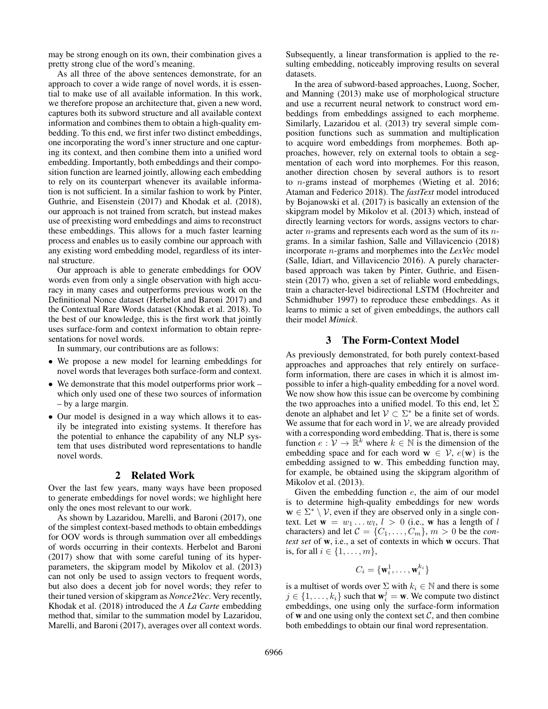may be strong enough on its own, their combination gives a pretty strong clue of the word's meaning.

As all three of the above sentences demonstrate, for an approach to cover a wide range of novel words, it is essential to make use of all available information. In this work, we therefore propose an architecture that, given a new word, captures both its subword structure and all available context information and combines them to obtain a high-quality embedding. To this end, we first infer two distinct embeddings, one incorporating the word's inner structure and one capturing its context, and then combine them into a unified word embedding. Importantly, both embeddings and their composition function are learned jointly, allowing each embedding to rely on its counterpart whenever its available information is not sufficient. In a similar fashion to work by Pinter, Guthrie, and Eisenstein (2017) and Khodak et al. (2018), our approach is not trained from scratch, but instead makes use of preexisting word embeddings and aims to reconstruct these embeddings. This allows for a much faster learning process and enables us to easily combine our approach with any existing word embedding model, regardless of its internal structure.

Our approach is able to generate embeddings for OOV words even from only a single observation with high accuracy in many cases and outperforms previous work on the Definitional Nonce dataset (Herbelot and Baroni 2017) and the Contextual Rare Words dataset (Khodak et al. 2018). To the best of our knowledge, this is the first work that jointly uses surface-form and context information to obtain representations for novel words.

In summary, our contributions are as follows:

- We propose a new model for learning embeddings for novel words that leverages both surface-form and context.
- We demonstrate that this model outperforms prior work which only used one of these two sources of information – by a large margin.
- Our model is designed in a way which allows it to easily be integrated into existing systems. It therefore has the potential to enhance the capability of any NLP system that uses distributed word representations to handle novel words.

### 2 Related Work

Over the last few years, many ways have been proposed to generate embeddings for novel words; we highlight here only the ones most relevant to our work.

As shown by Lazaridou, Marelli, and Baroni (2017), one of the simplest context-based methods to obtain embeddings for OOV words is through summation over all embeddings of words occurring in their contexts. Herbelot and Baroni (2017) show that with some careful tuning of its hyperparameters, the skipgram model by Mikolov et al. (2013) can not only be used to assign vectors to frequent words, but also does a decent job for novel words; they refer to their tuned version of skipgram as *Nonce2Vec*. Very recently, Khodak et al. (2018) introduced the *A La Carte* embedding method that, similar to the summation model by Lazaridou, Marelli, and Baroni (2017), averages over all context words.

Subsequently, a linear transformation is applied to the resulting embedding, noticeably improving results on several datasets.

In the area of subword-based approaches, Luong, Socher, and Manning (2013) make use of morphological structure and use a recurrent neural network to construct word embeddings from embeddings assigned to each morpheme. Similarly, Lazaridou et al. (2013) try several simple composition functions such as summation and multiplication to acquire word embeddings from morphemes. Both approaches, however, rely on external tools to obtain a segmentation of each word into morphemes. For this reason, another direction chosen by several authors is to resort to n-grams instead of morphemes (Wieting et al. 2016; Ataman and Federico 2018). The *fastText* model introduced by Bojanowski et al. (2017) is basically an extension of the skipgram model by Mikolov et al. (2013) which, instead of directly learning vectors for words, assigns vectors to character n-grams and represents each word as the sum of its ngrams. In a similar fashion, Salle and Villavicencio (2018) incorporate n-grams and morphemes into the *LexVec* model (Salle, Idiart, and Villavicencio 2016). A purely characterbased approach was taken by Pinter, Guthrie, and Eisenstein (2017) who, given a set of reliable word embeddings, train a character-level bidirectional LSTM (Hochreiter and Schmidhuber 1997) to reproduce these embeddings. As it learns to mimic a set of given embeddings, the authors call their model *Mimick*.

### 3 The Form-Context Model

As previously demonstrated, for both purely context-based approaches and approaches that rely entirely on surfaceform information, there are cases in which it is almost impossible to infer a high-quality embedding for a novel word. We now show how this issue can be overcome by combining the two approaches into a unified model. To this end, let  $\Sigma$ denote an alphabet and let  $V \subset \Sigma^*$  be a finite set of words. We assume that for each word in  $V$ , we are already provided with a corresponding word embedding. That is, there is some function  $e: \mathcal{V} \to \mathbb{R}^k$  where  $k \in \mathbb{N}$  is the dimension of the embedding space and for each word  $\mathbf{w} \in \mathcal{V}$ ,  $e(\mathbf{w})$  is the embedding assigned to w. This embedding function may, for example, be obtained using the skipgram algorithm of Mikolov et al. (2013).

Given the embedding function  $e$ , the aim of our model is to determine high-quality embeddings for new words  $\mathbf{w} \in \Sigma^* \setminus \mathcal{V}$ , even if they are observed only in a single context. Let  $\mathbf{w} = w_1 \dots w_l, l > 0$  (i.e., **w** has a length of l characters) and let  $C = \{C_1, \ldots, C_m\}$ ,  $m > 0$  be the *context set* of w, i.e., a set of contexts in which w occurs. That is, for all  $i \in \{1, \ldots, m\}$ ,

$$
C_i = \{\mathbf{w}_i^1, \dots, \mathbf{w}_i^{k_i}\}
$$

is a multiset of words over  $\Sigma$  with  $k_i \in \mathbb{N}$  and there is some  $j \in \{1, \ldots, k_i\}$  such that  $\mathbf{w}_i^j = \mathbf{w}$ . We compute two distinct embeddings, one using only the surface-form information of **w** and one using only the context set  $C$ , and then combine both embeddings to obtain our final word representation.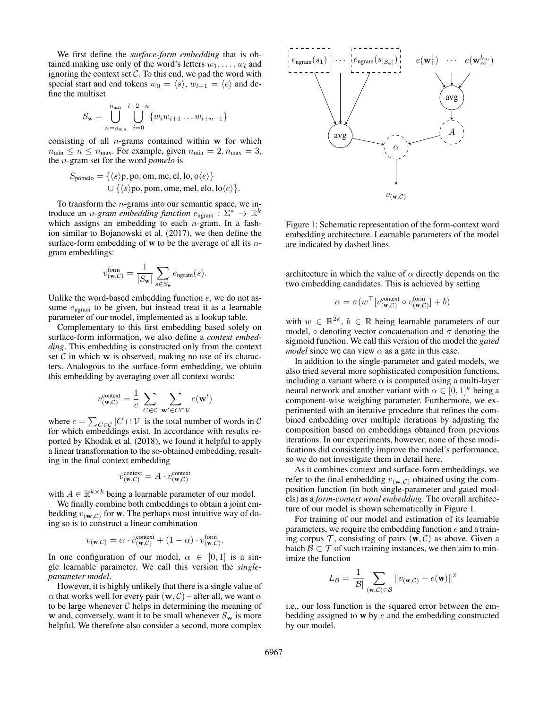We first define the *surface-form embedding* that is obtained making use only of the word's letters  $w_1, \ldots, w_l$  and ignoring the context set  $C$ . To this end, we pad the word with special start and end tokens  $w_0 = \langle s \rangle$ ,  $w_{l+1} = \langle e \rangle$  and define the multiset

$$
S_{\mathbf{w}} = \bigcup_{n=n_{\min}}^{n_{\max}} \bigcup_{i=0}^{l+2-n} \{w_i w_{i+1} \dots w_{i+n-1}\}
$$

consisting of all  $n$ -grams contained within  $w$  for which  $n_{\min} \le n \le n_{\max}$ . For example, given  $n_{\min} = 2, n_{\max} = 3$ , the n-gram set for the word *pomelo* is

$$
S_{\text{pomelo}} = \{ \langle s \rangle \mathbf{p}, \mathbf{po}, \mathbf{om}, \mathbf{me}, \mathbf{el}, \mathbf{lo}, \mathbf{o} \langle e \rangle \}
$$
  

$$
\cup \{ \langle s \rangle \mathbf{po}, \mathbf{pom}, \mathbf{ome}, \mathbf{mel}, \mathbf{elo}, \mathbf{lo} \langle e \rangle \}.
$$

To transform the  $n$ -grams into our semantic space, we introduce an *n*-gram embedding function  $e_{\text{ngram}}$  :  $\Sigma^* \to \mathbb{R}^k$ which assigns an embedding to each  $n$ -gram. In a fashion similar to Bojanowski et al. (2017), we then define the surface-form embedding of  $w$  to be the average of all its  $n$ gram embeddings:

$$
v_{(\mathbf{w},\mathcal{C})}^{\text{form}} = \frac{1}{|S_{\mathbf{w}}|} \sum_{s \in S_{\mathbf{w}}} e_{\text{ngram}}(s).
$$

Unlike the word-based embedding function  $e$ , we do not assume  $e_{\text{ngram}}$  to be given, but instead treat it as a learnable parameter of our model, implemented as a lookup table.

Complementary to this first embedding based solely on surface-form information, we also define a *context embedding*. This embedding is constructed only from the context set  $\mathcal C$  in which w is observed, making no use of its characters. Analogous to the surface-form embedding, we obtain this embedding by averaging over all context words:

$$
v_{(\mathbf{w},\mathcal{C})}^{\text{context}} = \frac{1}{c} \sum_{C \in \mathcal{C}} \sum_{\mathbf{w}' \in C \cap \mathcal{V}} e(\mathbf{w}')
$$

where  $c = \sum_{C \in \mathcal{C}} |C \cap \mathcal{V}|$  is the total number of words in C for which embeddings exist. In accordance with results reported by Khodak et al. (2018), we found it helpful to apply a linear transformation to the so-obtained embedding, resulting in the final context embedding

$$
\hat{v}^{\text{context}}_{(\mathbf{w},\mathcal{C})} = A \cdot v^{\text{context}}_{(\mathbf{w},\mathcal{C})}
$$

with  $A \in \mathbb{R}^{k \times k}$  being a learnable parameter of our model.

We finally combine both embeddings to obtain a joint embedding  $v_{(\mathbf{w},\mathcal{C})}$  for **w**. The perhaps most intuitive way of doing so is to construct a linear combination

$$
v_{(\mathbf{w},\mathcal{C})} = \alpha \cdot \hat{v}^{\text{context}}_{(\mathbf{w},\mathcal{C})} + (1 - \alpha) \cdot v^{\text{form}}_{(\mathbf{w},\mathcal{C})}.
$$

In one configuration of our model,  $\alpha \in [0,1]$  is a single learnable parameter. We call this version the *singleparameter model*.

However, it is highly unlikely that there is a single value of  $\alpha$  that works well for every pair  $(\mathbf{w}, \mathcal{C})$  – after all, we want  $\alpha$ to be large whenever  $C$  helps in determining the meaning of w and, conversely, want it to be small whenever  $S_w$  is more helpful. We therefore also consider a second, more complex



Figure 1: Schematic representation of the form-context word embedding architecture. Learnable parameters of the model are indicated by dashed lines.

architecture in which the value of  $\alpha$  directly depends on the two embedding candidates. This is achieved by setting

$$
\alpha = \sigma(w^\top[v_{(\mathbf{w},\mathcal{C})}^{\text{context}} \circ v_{(\mathbf{w},\mathcal{C})}^{\text{form}}] + b)
$$

with  $w \in \mathbb{R}^{2k}$ ,  $b \in \mathbb{R}$  being learnable parameters of our model,  $\circ$  denoting vector concatenation and  $\sigma$  denoting the sigmoid function. We call this version of the model the *gated model* since we can view  $\alpha$  as a gate in this case.

In addition to the single-parameter and gated models, we also tried several more sophisticated composition functions, including a variant where  $\alpha$  is computed using a multi-layer neural network and another variant with  $\alpha \in [0,1]^k$  being a component-wise weighing parameter. Furthermore, we experimented with an iterative procedure that refines the combined embedding over multiple iterations by adjusting the composition based on embeddings obtained from previous iterations. In our experiments, however, none of these modifications did consistently improve the model's performance, so we do not investigate them in detail here.

As it combines context and surface-form embeddings, we refer to the final embedding  $v_{(\mathbf{w},\mathcal{C})}$  obtained using the composition function (in both single-parameter and gated models) as a *form-context word embedding*. The overall architecture of our model is shown schematically in Figure 1.

For training of our model and estimation of its learnable parameters, we require the embedding function  $e$  and a training corpus  $\mathcal T$ , consisting of pairs  $(w, \mathcal C)$  as above. Given a batch  $\mathcal{B} \subset \mathcal{T}$  of such training instances, we then aim to minimize the function

$$
L_{\mathcal{B}} = \frac{1}{|\mathcal{B}|} \sum_{(\mathbf{w}, \mathcal{C}) \in \mathcal{B}} \|v_{(\mathbf{w}, \mathcal{C})} - e(\mathbf{w})\|^2
$$

i.e., our loss function is the squared error between the embedding assigned to  $w$  by  $e$  and the embedding constructed by our model.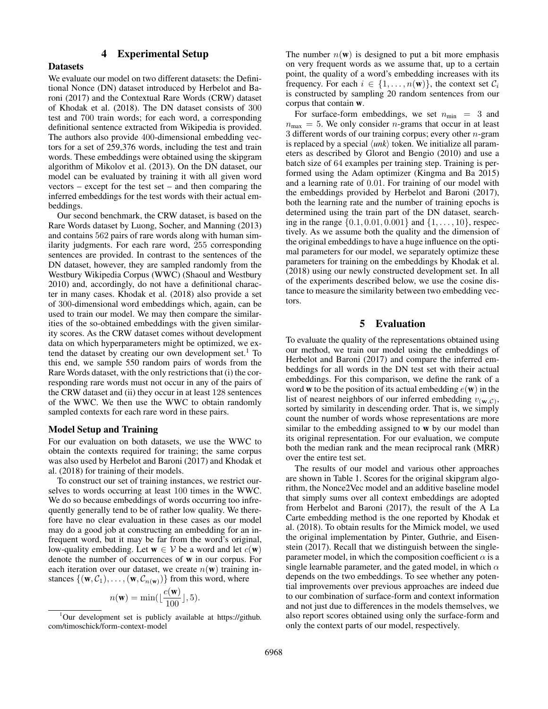# 4 Experimental Setup

### **Datasets**

We evaluate our model on two different datasets: the Definitional Nonce (DN) dataset introduced by Herbelot and Baroni (2017) and the Contextual Rare Words (CRW) dataset of Khodak et al. (2018). The DN dataset consists of 300 test and 700 train words; for each word, a corresponding definitional sentence extracted from Wikipedia is provided. The authors also provide 400-dimensional embedding vectors for a set of 259,376 words, including the test and train words. These embeddings were obtained using the skipgram algorithm of Mikolov et al. (2013). On the DN dataset, our model can be evaluated by training it with all given word vectors – except for the test set – and then comparing the inferred embeddings for the test words with their actual embeddings.

Our second benchmark, the CRW dataset, is based on the Rare Words dataset by Luong, Socher, and Manning (2013) and contains 562 pairs of rare words along with human similarity judgments. For each rare word, 255 corresponding sentences are provided. In contrast to the sentences of the DN dataset, however, they are sampled randomly from the Westbury Wikipedia Corpus (WWC) (Shaoul and Westbury 2010) and, accordingly, do not have a definitional character in many cases. Khodak et al. (2018) also provide a set of 300-dimensional word embeddings which, again, can be used to train our model. We may then compare the similarities of the so-obtained embeddings with the given similarity scores. As the CRW dataset comes without development data on which hyperparameters might be optimized, we extend the dataset by creating our own development set.<sup>1</sup> To this end, we sample 550 random pairs of words from the Rare Words dataset, with the only restrictions that (i) the corresponding rare words must not occur in any of the pairs of the CRW dataset and (ii) they occur in at least 128 sentences of the WWC. We then use the WWC to obtain randomly sampled contexts for each rare word in these pairs.

### Model Setup and Training

For our evaluation on both datasets, we use the WWC to obtain the contexts required for training; the same corpus was also used by Herbelot and Baroni (2017) and Khodak et al. (2018) for training of their models.

To construct our set of training instances, we restrict ourselves to words occurring at least 100 times in the WWC. We do so because embeddings of words occurring too infrequently generally tend to be of rather low quality. We therefore have no clear evaluation in these cases as our model may do a good job at constructing an embedding for an infrequent word, but it may be far from the word's original, low-quality embedding. Let  $w \in V$  be a word and let  $c(w)$ denote the number of occurrences of w in our corpus. For each iteration over our dataset, we create  $n(\mathbf{w})$  training instances  $\{(\mathbf{w}, C_1), \ldots, (\mathbf{w}, C_{n(\mathbf{w})})\}$  from this word, where

$$
n(\mathbf{w}) = \min(\lfloor \frac{c(\mathbf{w})}{100} \rfloor, 5).
$$

The number  $n(\mathbf{w})$  is designed to put a bit more emphasis on very frequent words as we assume that, up to a certain point, the quality of a word's embedding increases with its frequency. For each  $i \in \{1, \ldots, n(\mathbf{w})\}$ , the context set  $C_i$ is constructed by sampling 20 random sentences from our corpus that contain w.

For surface-form embeddings, we set  $n_{\text{min}} = 3$  and  $n_{\text{max}} = 5$ . We only consider *n*-grams that occur in at least 3 different words of our training corpus; every other  $n$ -gram is replaced by a special  $\langle \textit{unk} \rangle$  token. We initialize all parameters as described by Glorot and Bengio (2010) and use a batch size of 64 examples per training step. Training is performed using the Adam optimizer (Kingma and Ba 2015) and a learning rate of 0.01. For training of our model with the embeddings provided by Herbelot and Baroni (2017), both the learning rate and the number of training epochs is determined using the train part of the DN dataset, searching in the range  $\{0.1, 0.01, 0.001\}$  and  $\{1, \ldots, 10\}$ , respectively. As we assume both the quality and the dimension of the original embeddings to have a huge influence on the optimal parameters for our model, we separately optimize these parameters for training on the embeddings by Khodak et al. (2018) using our newly constructed development set. In all of the experiments described below, we use the cosine distance to measure the similarity between two embedding vectors.

# 5 Evaluation

To evaluate the quality of the representations obtained using our method, we train our model using the embeddings of Herbelot and Baroni (2017) and compare the inferred embeddings for all words in the DN test set with their actual embeddings. For this comparison, we define the rank of a word **w** to be the position of its actual embedding  $e(\mathbf{w})$  in the list of nearest neighbors of our inferred embedding  $v_{(\mathbf{w},\mathcal{C})}$ , sorted by similarity in descending order. That is, we simply count the number of words whose representations are more similar to the embedding assigned to w by our model than its original representation. For our evaluation, we compute both the median rank and the mean reciprocal rank (MRR) over the entire test set.

The results of our model and various other approaches are shown in Table 1. Scores for the original skipgram algorithm, the Nonce2Vec model and an additive baseline model that simply sums over all context embeddings are adopted from Herbelot and Baroni (2017), the result of the A La Carte embedding method is the one reported by Khodak et al. (2018). To obtain results for the Mimick model, we used the original implementation by Pinter, Guthrie, and Eisenstein (2017). Recall that we distinguish between the singleparameter model, in which the composition coefficient  $\alpha$  is a single learnable parameter, and the gated model, in which  $\alpha$ depends on the two embeddings. To see whether any potential improvements over previous approaches are indeed due to our combination of surface-form and context information and not just due to differences in the models themselves, we also report scores obtained using only the surface-form and only the context parts of our model, respectively.

 $1$ Our development set is publicly available at https://github. com/timoschick/form-context-model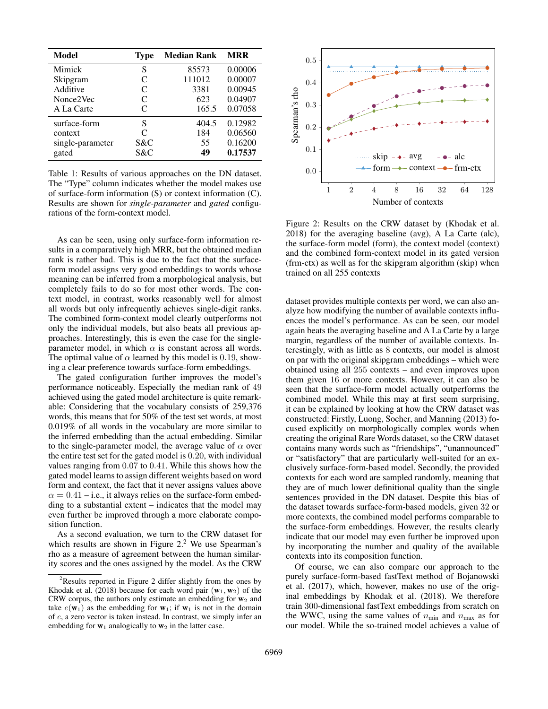| Model            | <b>Type</b>                 | <b>Median Rank</b> | <b>MRR</b> |
|------------------|-----------------------------|--------------------|------------|
| Mimick           | S                           | 85573              | 0.00006    |
| Skipgram         | C                           | 111012             | 0.00007    |
| Additive         | C                           | 3381               | 0.00945    |
| Nonce2Vec        | C                           | 623                | 0.04907    |
| A La Carte       | C                           | 165.5              | 0.07058    |
| surface-form     | S                           | 404.5              | 0.12982    |
| context          | $\mathcal{C}_{\mathcal{C}}$ | 184                | 0.06560    |
| single-parameter | S&C                         | 55                 | 0.16200    |
| gated            | S&C                         | 49                 | 0.17537    |

Table 1: Results of various approaches on the DN dataset. The "Type" column indicates whether the model makes use of surface-form information (S) or context information (C). Results are shown for *single-parameter* and *gated* configurations of the form-context model.

As can be seen, using only surface-form information results in a comparatively high MRR, but the obtained median rank is rather bad. This is due to the fact that the surfaceform model assigns very good embeddings to words whose meaning can be inferred from a morphological analysis, but completely fails to do so for most other words. The context model, in contrast, works reasonably well for almost all words but only infrequently achieves single-digit ranks. The combined form-context model clearly outperforms not only the individual models, but also beats all previous approaches. Interestingly, this is even the case for the singleparameter model, in which  $\alpha$  is constant across all words. The optimal value of  $\alpha$  learned by this model is 0.19, showing a clear preference towards surface-form embeddings.

The gated configuration further improves the model's performance noticeably. Especially the median rank of 49 achieved using the gated model architecture is quite remarkable: Considering that the vocabulary consists of 259,376 words, this means that for 50% of the test set words, at most 0.019% of all words in the vocabulary are more similar to the inferred embedding than the actual embedding. Similar to the single-parameter model, the average value of  $\alpha$  over the entire test set for the gated model is 0.20, with individual values ranging from 0.07 to 0.41. While this shows how the gated model learns to assign different weights based on word form and context, the fact that it never assigns values above  $\alpha = 0.41$  – i.e., it always relies on the surface-form embedding to a substantial extent – indicates that the model may even further be improved through a more elaborate composition function.

As a second evaluation, we turn to the CRW dataset for which results are shown in Figure  $2<sup>2</sup>$  We use Spearman's rho as a measure of agreement between the human similarity scores and the ones assigned by the model. As the CRW



Figure 2: Results on the CRW dataset by (Khodak et al. 2018) for the averaging baseline (avg), A La Carte (alc), the surface-form model (form), the context model (context) and the combined form-context model in its gated version (frm-ctx) as well as for the skipgram algorithm (skip) when trained on all 255 contexts

dataset provides multiple contexts per word, we can also analyze how modifying the number of available contexts influences the model's performance. As can be seen, our model again beats the averaging baseline and A La Carte by a large margin, regardless of the number of available contexts. Interestingly, with as little as 8 contexts, our model is almost on par with the original skipgram embeddings – which were obtained using all 255 contexts – and even improves upon them given 16 or more contexts. However, it can also be seen that the surface-form model actually outperforms the combined model. While this may at first seem surprising, it can be explained by looking at how the CRW dataset was constructed: Firstly, Luong, Socher, and Manning (2013) focused explicitly on morphologically complex words when creating the original Rare Words dataset, so the CRW dataset contains many words such as "friendships", "unannounced" or "satisfactory" that are particularly well-suited for an exclusively surface-form-based model. Secondly, the provided contexts for each word are sampled randomly, meaning that they are of much lower definitional quality than the single sentences provided in the DN dataset. Despite this bias of the dataset towards surface-form-based models, given 32 or more contexts, the combined model performs comparable to the surface-form embeddings. However, the results clearly indicate that our model may even further be improved upon by incorporating the number and quality of the available contexts into its composition function.

Of course, we can also compare our approach to the purely surface-form-based fastText method of Bojanowski et al. (2017), which, however, makes no use of the original embeddings by Khodak et al. (2018). We therefore train 300-dimensional fastText embeddings from scratch on the WWC, using the same values of  $n_{\text{min}}$  and  $n_{\text{max}}$  as for our model. While the so-trained model achieves a value of

 $2$ Results reported in Figure 2 differ slightly from the ones by Khodak et al. (2018) because for each word pair  $(w_1, w_2)$  of the CRW corpus, the authors only estimate an embedding for  $w_2$  and take  $e(\mathbf{w}_1)$  as the embedding for  $\mathbf{w}_1$ ; if  $\mathbf{w}_1$  is not in the domain of e, a zero vector is taken instead. In contrast, we simply infer an embedding for  $w_1$  analogically to  $w_2$  in the latter case.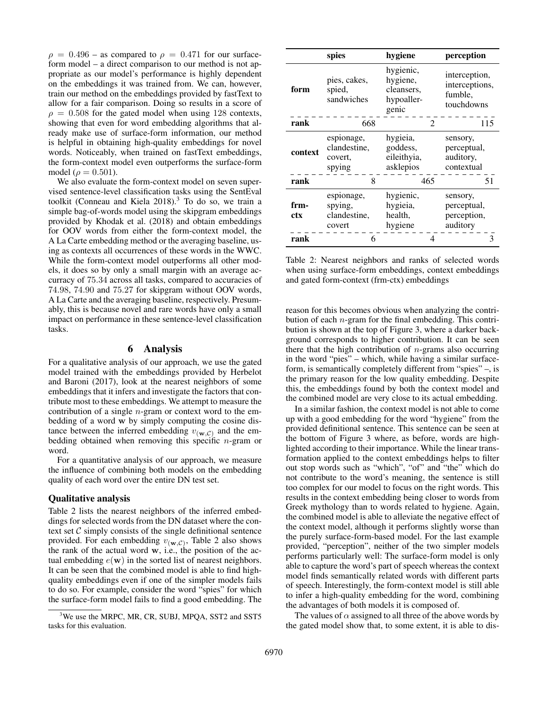$\rho = 0.496$  – as compared to  $\rho = 0.471$  for our surfaceform model – a direct comparison to our method is not appropriate as our model's performance is highly dependent on the embeddings it was trained from. We can, however, train our method on the embeddings provided by fastText to allow for a fair comparison. Doing so results in a score of  $\rho = 0.508$  for the gated model when using 128 contexts, showing that even for word embedding algorithms that already make use of surface-form information, our method is helpful in obtaining high-quality embeddings for novel words. Noticeably, when trained on fastText embeddings, the form-context model even outperforms the surface-form model ( $\rho = 0.501$ ).

We also evaluate the form-context model on seven supervised sentence-level classification tasks using the SentEval toolkit (Conneau and Kiela  $2018$ ).<sup>3</sup> To do so, we train a simple bag-of-words model using the skipgram embeddings provided by Khodak et al. (2018) and obtain embeddings for OOV words from either the form-context model, the A La Carte embedding method or the averaging baseline, using as contexts all occurrences of these words in the WWC. While the form-context model outperforms all other models, it does so by only a small margin with an average accurracy of 75.34 across all tasks, compared to accuracies of 74.98, 74.90 and 75.27 for skipgram without OOV words, A La Carte and the averaging baseline, respectively. Presumably, this is because novel and rare words have only a small impact on performance in these sentence-level classification tasks.

## 6 Analysis

For a qualitative analysis of our approach, we use the gated model trained with the embeddings provided by Herbelot and Baroni (2017), look at the nearest neighbors of some embeddings that it infers and investigate the factors that contribute most to these embeddings. We attempt to measure the contribution of a single  $n$ -gram or context word to the embedding of a word w by simply computing the cosine distance between the inferred embedding  $v_{(\mathbf{w},\mathcal{C})}$  and the embedding obtained when removing this specific  $n$ -gram or word.

For a quantitative analysis of our approach, we measure the influence of combining both models on the embedding quality of each word over the entire DN test set.

### Qualitative analysis

Table 2 lists the nearest neighbors of the inferred embeddings for selected words from the DN dataset where the context set  $C$  simply consists of the single definitional sentence provided. For each embedding  $v_{(\mathbf{w},\mathcal{C})}$ , Table 2 also shows the rank of the actual word w, i.e., the position of the actual embedding  $e(\mathbf{w})$  in the sorted list of nearest neighbors. It can be seen that the combined model is able to find highquality embeddings even if one of the simpler models fails to do so. For example, consider the word "spies" for which the surface-form model fails to find a good embedding. The

|             | spies                                           | hygiene                                                    | perception                                               |
|-------------|-------------------------------------------------|------------------------------------------------------------|----------------------------------------------------------|
| form        | pies, cakes,<br>spied,<br>sandwiches            | hygienic,<br>hygiene,<br>cleansers,<br>hypoaller-<br>genic | interception,<br>interceptions,<br>fumble,<br>touchdowns |
| rank        | 668                                             | $\mathcal{D}_{\mathcal{L}}$                                | 115                                                      |
| context     | espionage,<br>clandestine,<br>covert.<br>spying | hygieia,<br>goddess,<br>eileithyia,<br>asklepios           | sensory,<br>perceptual,<br>auditory,<br>contextual       |
| rank        | 8                                               | 465                                                        | 51                                                       |
| frm-<br>ctx | espionage,<br>spying,<br>clandestine,<br>covert | hygienic,<br>hygieia,<br>health,<br>hygiene                | sensory,<br>perceptual,<br>perception,<br>auditory       |
| rank        | 6                                               | 4                                                          | 3                                                        |

Table 2: Nearest neighbors and ranks of selected words when using surface-form embeddings, context embeddings and gated form-context (frm-ctx) embeddings

reason for this becomes obvious when analyzing the contribution of each  $n$ -gram for the final embedding. This contribution is shown at the top of Figure 3, where a darker background corresponds to higher contribution. It can be seen there that the high contribution of  $n$ -grams also occurring in the word "pies" – which, while having a similar surfaceform, is semantically completely different from "spies" –, is the primary reason for the low quality embedding. Despite this, the embeddings found by both the context model and the combined model are very close to its actual embedding.

In a similar fashion, the context model is not able to come up with a good embedding for the word "hygiene" from the provided definitional sentence. This sentence can be seen at the bottom of Figure 3 where, as before, words are highlighted according to their importance. While the linear transformation applied to the context embeddings helps to filter out stop words such as "which", "of" and "the" which do not contribute to the word's meaning, the sentence is still too complex for our model to focus on the right words. This results in the context embedding being closer to words from Greek mythology than to words related to hygiene. Again, the combined model is able to alleviate the negative effect of the context model, although it performs slightly worse than the purely surface-form-based model. For the last example provided, "perception", neither of the two simpler models performs particularly well: The surface-form model is only able to capture the word's part of speech whereas the context model finds semantically related words with different parts of speech. Interestingly, the form-context model is still able to infer a high-quality embedding for the word, combining the advantages of both models it is composed of.

The values of  $\alpha$  assigned to all three of the above words by the gated model show that, to some extent, it is able to dis-

<sup>&</sup>lt;sup>3</sup>We use the MRPC, MR, CR, SUBJ, MPQA, SST2 and SST5 tasks for this evaluation.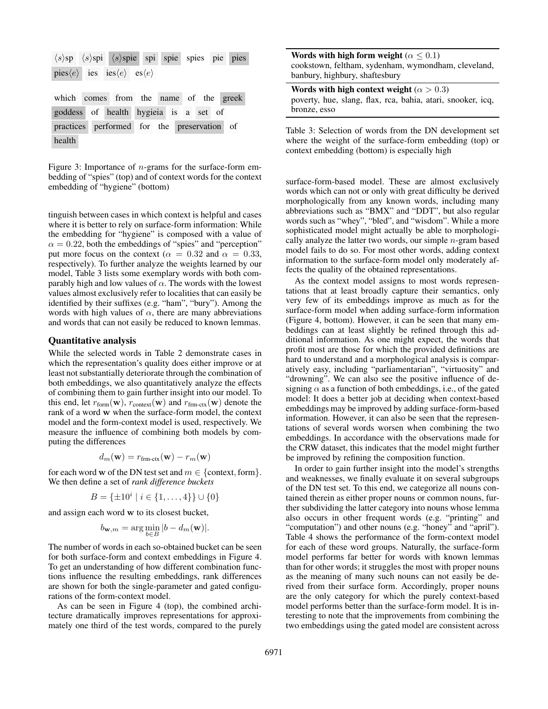| $\langle s \rangle$ sp $\langle s \rangle$ spi $\langle s \rangle$ spie spi spie spies pie pies |  |  |  |  |  |  |
|-------------------------------------------------------------------------------------------------|--|--|--|--|--|--|
| pies $\langle e \rangle$ ies ies $\langle e \rangle$ es $\langle e \rangle$                     |  |  |  |  |  |  |
|                                                                                                 |  |  |  |  |  |  |
| which comes from the name of the greek                                                          |  |  |  |  |  |  |
| goddess of health hygieia is a set of                                                           |  |  |  |  |  |  |
| practices performed for the preservation of                                                     |  |  |  |  |  |  |
| health                                                                                          |  |  |  |  |  |  |

Figure 3: Importance of  $n$ -grams for the surface-form embedding of "spies" (top) and of context words for the context embedding of "hygiene" (bottom)

tinguish between cases in which context is helpful and cases where it is better to rely on surface-form information: While the embedding for "hygiene" is composed with a value of  $\alpha = 0.22$ , both the embeddings of "spies" and "perception" put more focus on the context ( $\alpha = 0.32$  and  $\alpha = 0.33$ , respectively). To further analyze the weights learned by our model, Table 3 lists some exemplary words with both comparably high and low values of  $\alpha$ . The words with the lowest values almost exclusively refer to localities that can easily be identified by their suffixes (e.g. "ham", "bury"). Among the words with high values of  $\alpha$ , there are many abbreviations and words that can not easily be reduced to known lemmas.

### Quantitative analysis

While the selected words in Table 2 demonstrate cases in which the representation's quality does either improve or at least not substantially deteriorate through the combination of both embeddings, we also quantitatively analyze the effects of combining them to gain further insight into our model. To this end, let  $r_{form}(\mathbf{w})$ ,  $r_{context}(\mathbf{w})$  and  $r_{frm.}(\mathbf{w})$  denote the rank of a word w when the surface-form model, the context model and the form-context model is used, respectively. We measure the influence of combining both models by computing the differences

$$
d_m(\mathbf{w}) = r_{\text{frm-ctx}}(\mathbf{w}) - r_m(\mathbf{w})
$$

for each word w of the DN test set and  $m \in \{\text{context}, \text{form}\}.$ We then define a set of *rank difference buckets*

$$
B = \{ \pm 10^i \mid i \in \{1, \dots, 4\} \} \cup \{0\}
$$

and assign each word w to its closest bucket,

$$
b_{\mathbf{w},m} = \arg\min_{b \in B} |b - d_m(\mathbf{w})|.
$$

The number of words in each so-obtained bucket can be seen for both surface-form and context embeddings in Figure 4. To get an understanding of how different combination functions influence the resulting embeddings, rank differences are shown for both the single-parameter and gated configurations of the form-context model.

As can be seen in Figure 4 (top), the combined architecture dramatically improves representations for approximately one third of the test words, compared to the purely

| Words with high form weight ( $\alpha \leq 0.1$ )   |
|-----------------------------------------------------|
| cookstown, feltham, sydenham, wymondham, cleveland, |
| banbury, highbury, shaftesbury                      |

Words with high context weight ( $\alpha > 0.3$ ) poverty, hue, slang, flax, rca, bahia, atari, snooker, icq, bronze, esso

Table 3: Selection of words from the DN development set where the weight of the surface-form embedding (top) or context embedding (bottom) is especially high

surface-form-based model. These are almost exclusively words which can not or only with great difficulty be derived morphologically from any known words, including many abbreviations such as "BMX" and "DDT", but also regular words such as "whey", "bled", and "wisdom". While a more sophisticated model might actually be able to morphologically analyze the latter two words, our simple  $n$ -gram based model fails to do so. For most other words, adding context information to the surface-form model only moderately affects the quality of the obtained representations.

As the context model assigns to most words representations that at least broadly capture their semantics, only very few of its embeddings improve as much as for the surface-form model when adding surface-form information (Figure 4, bottom). However, it can be seen that many embeddings can at least slightly be refined through this additional information. As one might expect, the words that profit most are those for which the provided definitions are hard to understand and a morphological analysis is comparatively easy, including "parliamentarian", "virtuosity" and "drowning". We can also see the positive influence of designing  $\alpha$  as a function of both embeddings, i.e., of the gated model: It does a better job at deciding when context-based embeddings may be improved by adding surface-form-based information. However, it can also be seen that the representations of several words worsen when combining the two embeddings. In accordance with the observations made for the CRW dataset, this indicates that the model might further be improved by refining the composition function.

In order to gain further insight into the model's strengths and weaknesses, we finally evaluate it on several subgroups of the DN test set. To this end, we categorize all nouns contained therein as either proper nouns or common nouns, further subdividing the latter category into nouns whose lemma also occurs in other frequent words (e.g. "printing" and "computation") and other nouns (e.g. "honey" and "april"). Table 4 shows the performance of the form-context model for each of these word groups. Naturally, the surface-form model performs far better for words with known lemmas than for other words; it struggles the most with proper nouns as the meaning of many such nouns can not easily be derived from their surface form. Accordingly, proper nouns are the only category for which the purely context-based model performs better than the surface-form model. It is interesting to note that the improvements from combining the two embeddings using the gated model are consistent across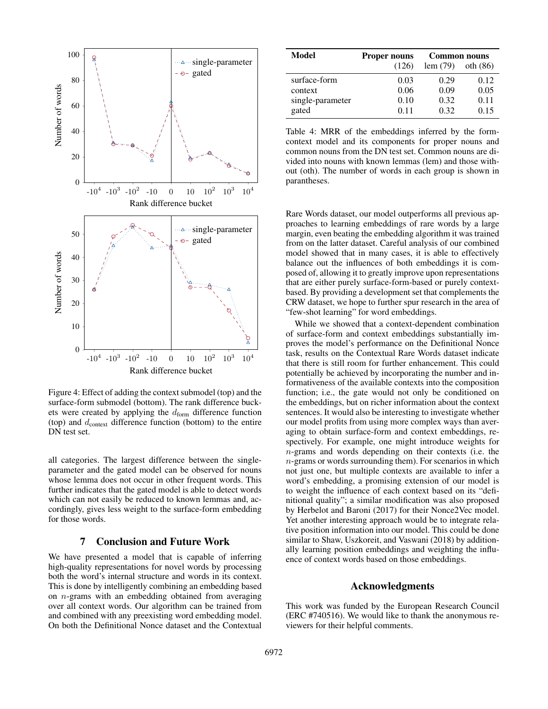

Figure 4: Effect of adding the context submodel (top) and the surface-form submodel (bottom). The rank difference buckets were created by applying the  $d_{form}$  difference function (top) and  $d_{\text{context}}$  difference function (bottom) to the entire DN test set.

all categories. The largest difference between the singleparameter and the gated model can be observed for nouns whose lemma does not occur in other frequent words. This further indicates that the gated model is able to detect words which can not easily be reduced to known lemmas and, accordingly, gives less weight to the surface-form embedding for those words.

# 7 Conclusion and Future Work

We have presented a model that is capable of inferring high-quality representations for novel words by processing both the word's internal structure and words in its context. This is done by intelligently combining an embedding based on  $n$ -grams with an embedding obtained from averaging over all context words. Our algorithm can be trained from and combined with any preexisting word embedding model. On both the Definitional Nonce dataset and the Contextual

| Model            | <b>Proper nouns</b> | <b>Common nouns</b> |            |  |
|------------------|---------------------|---------------------|------------|--|
|                  | (126)               | lem(79)             | oth $(86)$ |  |
| surface-form     | 0.03                | 0.29                | 0.12       |  |
| context          | 0.06                | 0.09                | 0.05       |  |
| single-parameter | 0.10                | 0.32                | 0.11       |  |
| gated            | 0.11                | 0.32                | 0.15       |  |

Table 4: MRR of the embeddings inferred by the formcontext model and its components for proper nouns and common nouns from the DN test set. Common nouns are divided into nouns with known lemmas (lem) and those without (oth). The number of words in each group is shown in parantheses.

Rare Words dataset, our model outperforms all previous approaches to learning embeddings of rare words by a large margin, even beating the embedding algorithm it was trained from on the latter dataset. Careful analysis of our combined model showed that in many cases, it is able to effectively balance out the influences of both embeddings it is composed of, allowing it to greatly improve upon representations that are either purely surface-form-based or purely contextbased. By providing a development set that complements the CRW dataset, we hope to further spur research in the area of "few-shot learning" for word embeddings.

While we showed that a context-dependent combination of surface-form and context embeddings substantially improves the model's performance on the Definitional Nonce task, results on the Contextual Rare Words dataset indicate that there is still room for further enhancement. This could potentially be achieved by incorporating the number and informativeness of the available contexts into the composition function; i.e., the gate would not only be conditioned on the embeddings, but on richer information about the context sentences. It would also be interesting to investigate whether our model profits from using more complex ways than averaging to obtain surface-form and context embeddings, respectively. For example, one might introduce weights for n-grams and words depending on their contexts (i.e. the  $n$ -grams or words surrounding them). For scenarios in which not just one, but multiple contexts are available to infer a word's embedding, a promising extension of our model is to weight the influence of each context based on its "definitional quality"; a similar modification was also proposed by Herbelot and Baroni (2017) for their Nonce2Vec model. Yet another interesting approach would be to integrate relative position information into our model. This could be done similar to Shaw, Uszkoreit, and Vaswani (2018) by additionally learning position embeddings and weighting the influence of context words based on those embeddings.

### Acknowledgments

This work was funded by the European Research Council (ERC #740516). We would like to thank the anonymous reviewers for their helpful comments.